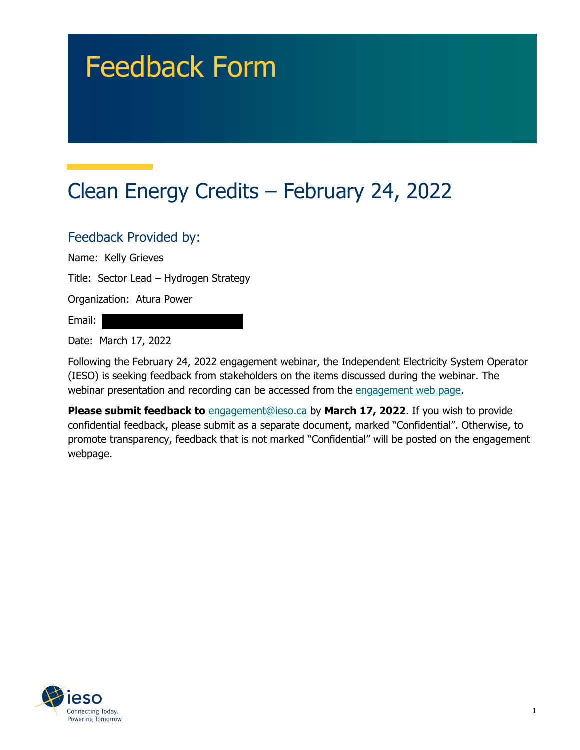# Feedback Form

# Clean Energy Credits – February 24, 2022

#### Feedback Provided by:

Name: Kelly Grieves

Title: Sector Lead – Hydrogen Strategy

Organization: Atura Power

Email:

Date: March 17, 2022

Following the February 24, 2022 engagement webinar, the Independent Electricity System Operator (IESO) is seeking feedback from stakeholders on the items discussed during the webinar. The webinar presentation and recording can be accessed from the engagement web page.

**Please submit feedback to** engagement@ieso.ca by March 17, 2022. If you wish to provide confidential feedback, please submit as a separate document, marked "Confidential". Otherwise, to promote transparency, feedback that is not marked "Confidential" will be posted on the engagement webpage.

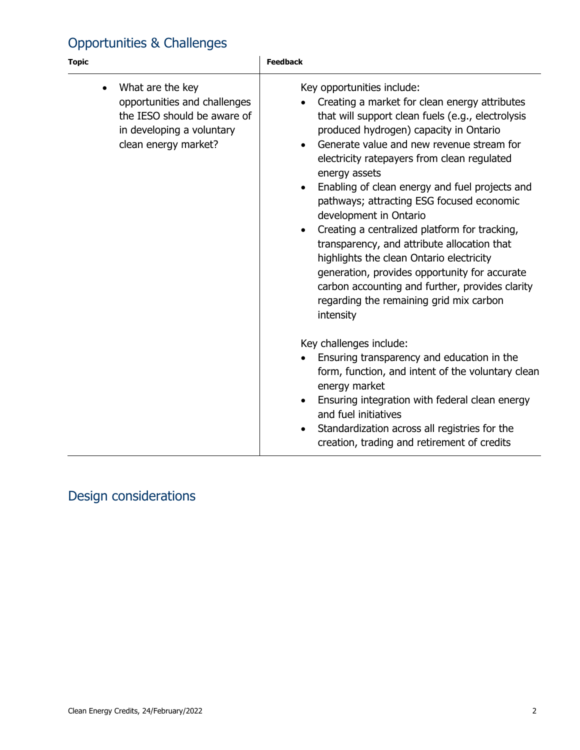### Opportunities & Challenges

| <b>Topic</b>                                                                                                                                      | <b>Feedback</b>                                                                                                                                                                                                                                                                                                                                                                                                                                                                                                                                                                                                                                                                                                                                                                                                                                                                                                                                                                                                                                                |
|---------------------------------------------------------------------------------------------------------------------------------------------------|----------------------------------------------------------------------------------------------------------------------------------------------------------------------------------------------------------------------------------------------------------------------------------------------------------------------------------------------------------------------------------------------------------------------------------------------------------------------------------------------------------------------------------------------------------------------------------------------------------------------------------------------------------------------------------------------------------------------------------------------------------------------------------------------------------------------------------------------------------------------------------------------------------------------------------------------------------------------------------------------------------------------------------------------------------------|
| What are the key<br>$\bullet$<br>opportunities and challenges<br>the IESO should be aware of<br>in developing a voluntary<br>clean energy market? | Key opportunities include:<br>Creating a market for clean energy attributes<br>that will support clean fuels (e.g., electrolysis<br>produced hydrogen) capacity in Ontario<br>Generate value and new revenue stream for<br>electricity ratepayers from clean regulated<br>energy assets<br>Enabling of clean energy and fuel projects and<br>pathways; attracting ESG focused economic<br>development in Ontario<br>Creating a centralized platform for tracking,<br>transparency, and attribute allocation that<br>highlights the clean Ontario electricity<br>generation, provides opportunity for accurate<br>carbon accounting and further, provides clarity<br>regarding the remaining grid mix carbon<br>intensity<br>Key challenges include:<br>Ensuring transparency and education in the<br>form, function, and intent of the voluntary clean<br>energy market<br>Ensuring integration with federal clean energy<br>and fuel initiatives<br>Standardization across all registries for the<br>$\bullet$<br>creation, trading and retirement of credits |

## Design considerations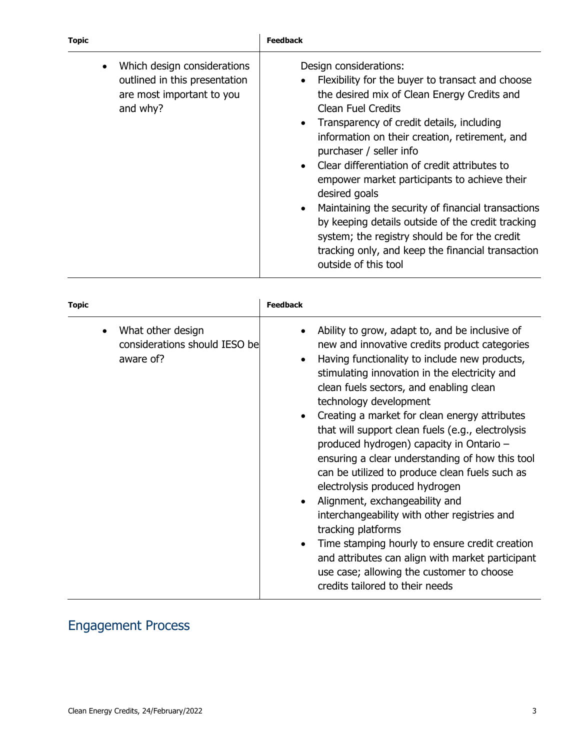| <b>Topic</b> |                                                                                                       | <b>Feedback</b>                                                                                                                                                                                                                                                                                                                                                                                                                                                                                                                                                                                                                                          |
|--------------|-------------------------------------------------------------------------------------------------------|----------------------------------------------------------------------------------------------------------------------------------------------------------------------------------------------------------------------------------------------------------------------------------------------------------------------------------------------------------------------------------------------------------------------------------------------------------------------------------------------------------------------------------------------------------------------------------------------------------------------------------------------------------|
|              | Which design considerations<br>outlined in this presentation<br>are most important to you<br>and why? | Design considerations:<br>Flexibility for the buyer to transact and choose<br>the desired mix of Clean Energy Credits and<br><b>Clean Fuel Credits</b><br>Transparency of credit details, including<br>$\bullet$<br>information on their creation, retirement, and<br>purchaser / seller info<br>Clear differentiation of credit attributes to<br>empower market participants to achieve their<br>desired goals<br>Maintaining the security of financial transactions<br>by keeping details outside of the credit tracking<br>system; the registry should be for the credit<br>tracking only, and keep the financial transaction<br>outside of this tool |

| <b>Topic</b>                                                    | <b>Feedback</b>                                                                                                                                                                                                                                                                                                                                                                                                                                                                                                                                                                                                                                                                                                                                                                                                                                                            |
|-----------------------------------------------------------------|----------------------------------------------------------------------------------------------------------------------------------------------------------------------------------------------------------------------------------------------------------------------------------------------------------------------------------------------------------------------------------------------------------------------------------------------------------------------------------------------------------------------------------------------------------------------------------------------------------------------------------------------------------------------------------------------------------------------------------------------------------------------------------------------------------------------------------------------------------------------------|
| What other design<br>considerations should IESO be<br>aware of? | Ability to grow, adapt to, and be inclusive of<br>new and innovative credits product categories<br>Having functionality to include new products,<br>stimulating innovation in the electricity and<br>clean fuels sectors, and enabling clean<br>technology development<br>Creating a market for clean energy attributes<br>that will support clean fuels (e.g., electrolysis<br>produced hydrogen) capacity in Ontario -<br>ensuring a clear understanding of how this tool<br>can be utilized to produce clean fuels such as<br>electrolysis produced hydrogen<br>Alignment, exchangeability and<br>interchangeability with other registries and<br>tracking platforms<br>Time stamping hourly to ensure credit creation<br>$\bullet$<br>and attributes can align with market participant<br>use case; allowing the customer to choose<br>credits tailored to their needs |

### Engagement Process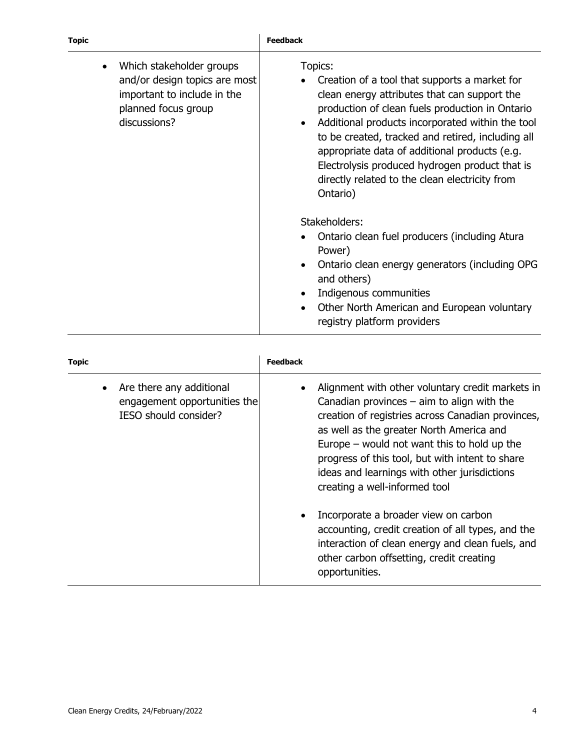| <b>Topic</b> |                                                                                                                                 | <b>Feedback</b>                                                                                                                                                                                                                                                                                                                                                                                                                                        |
|--------------|---------------------------------------------------------------------------------------------------------------------------------|--------------------------------------------------------------------------------------------------------------------------------------------------------------------------------------------------------------------------------------------------------------------------------------------------------------------------------------------------------------------------------------------------------------------------------------------------------|
|              | Which stakeholder groups<br>and/or design topics are most<br>important to include in the<br>planned focus group<br>discussions? | Topics:<br>Creation of a tool that supports a market for<br>clean energy attributes that can support the<br>production of clean fuels production in Ontario<br>Additional products incorporated within the tool<br>to be created, tracked and retired, including all<br>appropriate data of additional products (e.g.<br>Electrolysis produced hydrogen product that is<br>directly related to the clean electricity from<br>Ontario)<br>Stakeholders: |
|              |                                                                                                                                 | Ontario clean fuel producers (including Atura<br>Power)<br>Ontario clean energy generators (including OPG<br>and others)<br>Indigenous communities<br>Other North American and European voluntary<br>registry platform providers                                                                                                                                                                                                                       |

| <b>Topic</b>                                                                      | <b>Feedback</b>                                                                                                                                                                                                                                                                                                                                                                                                                |
|-----------------------------------------------------------------------------------|--------------------------------------------------------------------------------------------------------------------------------------------------------------------------------------------------------------------------------------------------------------------------------------------------------------------------------------------------------------------------------------------------------------------------------|
| Are there any additional<br>engagement opportunities the<br>IESO should consider? | Alignment with other voluntary credit markets in<br>Canadian provinces $-$ aim to align with the<br>creation of registries across Canadian provinces,<br>as well as the greater North America and<br>Europe $-$ would not want this to hold up the<br>progress of this tool, but with intent to share<br>ideas and learnings with other jurisdictions<br>creating a well-informed tool<br>Incorporate a broader view on carbon |
|                                                                                   | accounting, credit creation of all types, and the<br>interaction of clean energy and clean fuels, and<br>other carbon offsetting, credit creating<br>opportunities.                                                                                                                                                                                                                                                            |